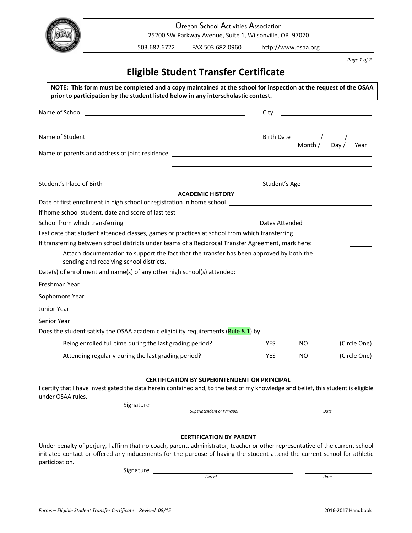

 Oregon School Activities Association 25200 SW Parkway Avenue, Suite 1, Wilsonville, OR 97070

503.682.6722 FAX 503.682.0960 http://www.osaa.org

 *Page 1 of 2*

# **Eligible Student Transfer Certificate**

| NOTE: This form must be completed and a copy maintained at the school for inspection at the request of the OSAA<br>prior to participation by the student listed below in any interscholastic contest.                               |                                                                                                                                                                                                                                                                                                                                                                                                             |
|-------------------------------------------------------------------------------------------------------------------------------------------------------------------------------------------------------------------------------------|-------------------------------------------------------------------------------------------------------------------------------------------------------------------------------------------------------------------------------------------------------------------------------------------------------------------------------------------------------------------------------------------------------------|
| Name of School and the contract of School and the contract of School and the contract of School and the contract of the contract of the contract of the contract of the contract of the contract of the contract of the contra      | City<br><u> 1990 - John Stein, Amerikaansk politiker (</u>                                                                                                                                                                                                                                                                                                                                                  |
|                                                                                                                                                                                                                                     | Birth Date $\frac{1}{\frac{1}{1-\frac{1}{1-\frac{1}{1-\frac{1}{1-\frac{1}{1-\frac{1}{1-\frac{1}{1-\frac{1}{1-\frac{1}{1-\frac{1}{1-\frac{1}{1-\frac{1}{1-\frac{1}{1-\frac{1}{1-\frac{1}{1-\frac{1}{1-\frac{1}{1-\frac{1}{1-\frac{1}{1-\frac{1}{1-\frac{1}{1-\frac{1}{1-\frac{1}{1-\frac{1}{1-\frac{1}{1-\frac{1}{1-\frac{1}{1-\frac{1}{1-\frac{1}{1-\frac{1}{1-\frac{1}{1-\frac{1}{1-\frac{1}{1-\frac{1}{1$ |
| Name of parents and address of joint residence <b>Exercise 2018</b> 2019 12:00:00 PM 2019 12:00:00 PM 2019 12:00:00 PM 2019 12:00:00 PM 2019 12:00:00 PM 2019 12:00:00 PM 2019 12:00:00 PM 2019 12:00:00 PM 2019 12:00:00 PM 2019 1 |                                                                                                                                                                                                                                                                                                                                                                                                             |
|                                                                                                                                                                                                                                     |                                                                                                                                                                                                                                                                                                                                                                                                             |
| <b>ACADEMIC HISTORY</b>                                                                                                                                                                                                             |                                                                                                                                                                                                                                                                                                                                                                                                             |
|                                                                                                                                                                                                                                     |                                                                                                                                                                                                                                                                                                                                                                                                             |
|                                                                                                                                                                                                                                     |                                                                                                                                                                                                                                                                                                                                                                                                             |
| Last date that student attended classes, games or practices at school from which transferring ________________                                                                                                                      |                                                                                                                                                                                                                                                                                                                                                                                                             |
| If transferring between school districts under teams of a Reciprocal Transfer Agreement, mark here:                                                                                                                                 |                                                                                                                                                                                                                                                                                                                                                                                                             |
| Attach documentation to support the fact that the transfer has been approved by both the<br>sending and receiving school districts.                                                                                                 |                                                                                                                                                                                                                                                                                                                                                                                                             |
| Date(s) of enrollment and name(s) of any other high school(s) attended:                                                                                                                                                             |                                                                                                                                                                                                                                                                                                                                                                                                             |
|                                                                                                                                                                                                                                     |                                                                                                                                                                                                                                                                                                                                                                                                             |
|                                                                                                                                                                                                                                     |                                                                                                                                                                                                                                                                                                                                                                                                             |
|                                                                                                                                                                                                                                     |                                                                                                                                                                                                                                                                                                                                                                                                             |
| Senior Year and the contract of the contract of the contract of the contract of the contract of the contract of the contract of the contract of the contract of the contract of the contract of the contract of the contract o      |                                                                                                                                                                                                                                                                                                                                                                                                             |
| Does the student satisfy the OSAA academic eligibility requirements (Rule 8.1) by:                                                                                                                                                  |                                                                                                                                                                                                                                                                                                                                                                                                             |
| Being enrolled full time during the last grading period?                                                                                                                                                                            | <b>YES</b><br>NO.<br>(Circle One)                                                                                                                                                                                                                                                                                                                                                                           |
| Attending regularly during the last grading period?                                                                                                                                                                                 | <b>YES</b><br>NO.<br>(Circle One)                                                                                                                                                                                                                                                                                                                                                                           |
| <b>CERTIFICATION BY SUPERINTENDENT OR PRINCIPAL</b><br>I certify that I have investigated the data herein contained and, to the best of my knowledge and belief, this student is eligible<br>under OSAA rules.                      |                                                                                                                                                                                                                                                                                                                                                                                                             |

Signature

 *Superintendent or Principal Date*

# **CERTIFICATION BY PARENT**

 Under penalty of perjury, I affirm that no coach, parent, administrator, teacher or other representative of the current school initiated contact or offered any inducements for the purpose of having the student attend the current school for athletic participation.

Signature

 $\blacksquare$   $\blacksquare$   $\blacksquare$   $\blacksquare$   $\blacksquare$   $\blacksquare$   $\blacksquare$   $\blacksquare$   $\blacksquare$   $\blacksquare$   $\blacksquare$   $\blacksquare$   $\blacksquare$   $\blacksquare$   $\blacksquare$   $\blacksquare$   $\blacksquare$   $\blacksquare$   $\blacksquare$   $\blacksquare$   $\blacksquare$   $\blacksquare$   $\blacksquare$   $\blacksquare$   $\blacksquare$   $\blacksquare$   $\blacksquare$   $\blacksquare$   $\blacksquare$   $\blacksquare$   $\blacksquare$   $\blacks$ 

*Parent Date*